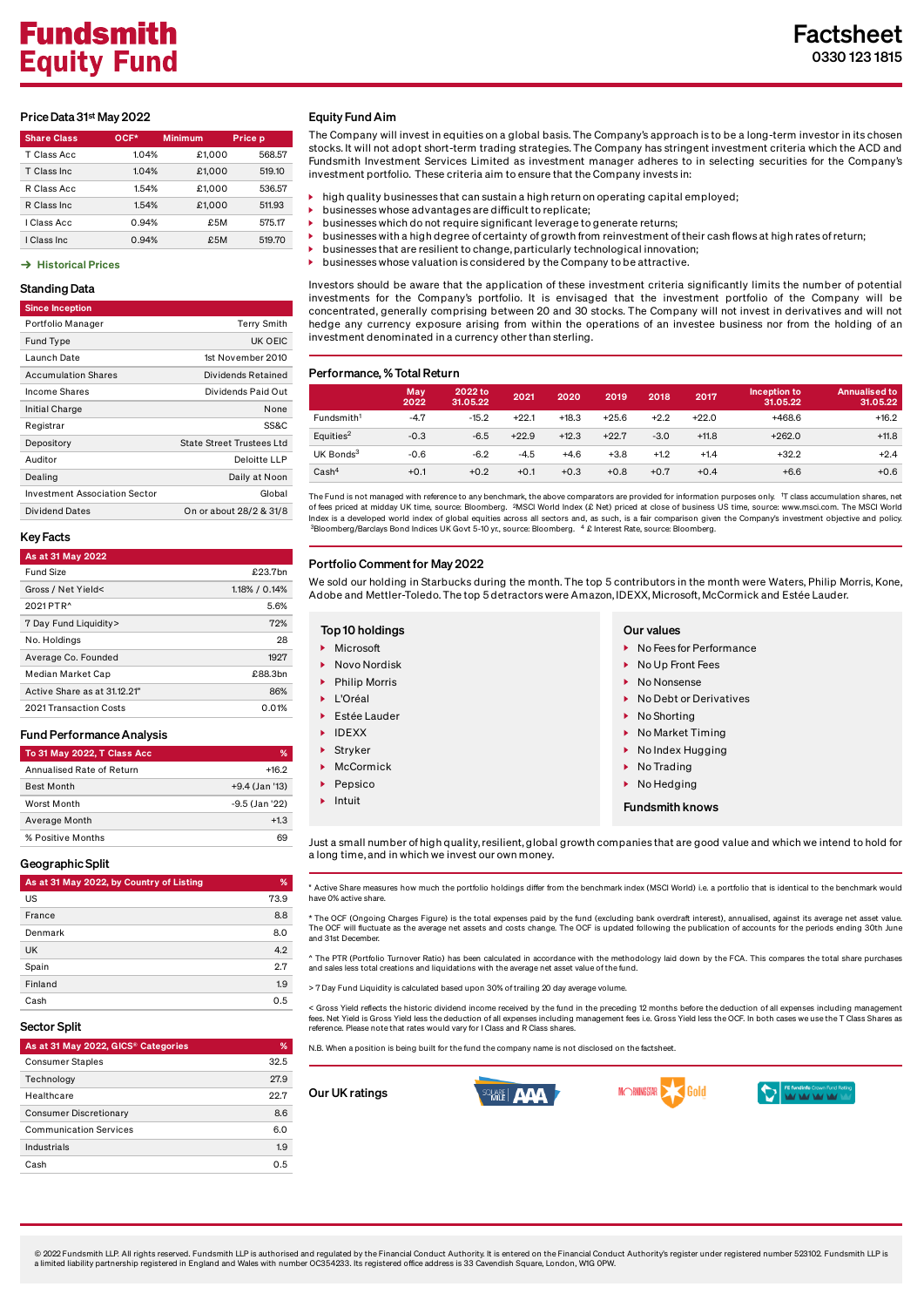# Price Data 31st May 2022

| <b>Share Class</b> | OCF*  | <b>Minimum</b> | Price p |  |  |
|--------------------|-------|----------------|---------|--|--|
| T Class Acc        | 1.04% | £1.000         | 568.57  |  |  |
| T Class Inc.       | 1.04% | £1,000         | 519.10  |  |  |
| R Class Acc        | 1.54% | £1.000         | 536.57  |  |  |
| R Class Inc.       | 1.54% | £1.000         | 511.93  |  |  |
| I Class Acc        | 0.94% | £5M            | 575.17  |  |  |
| I Class Inc        | 0.94% | £5M            | 519.70  |  |  |

#### $\rightarrow$  [Historical Prices](https://www.fundsmith.co.uk/factsheet/historical-prices/)

## Standing Data

| <b>Since Inception</b> |  |
|------------------------|--|

| Portfolio Manager             | <b>Terry Smith</b>               |
|-------------------------------|----------------------------------|
| Fund Type                     | UK OEIC                          |
| Launch Date                   | 1st November 2010                |
| <b>Accumulation Shares</b>    | Dividends Retained               |
| <b>Income Shares</b>          | Dividends Paid Out               |
| Initial Charge                | None                             |
| Registrar                     | SS&C                             |
| Depository                    | <b>State Street Trustees Ltd</b> |
| Auditor                       | Deloitte LLP                     |
| Dealing                       | Daily at Noon                    |
| Investment Association Sector | Global                           |
| Dividend Dates                | On or about 28/2 & 31/8          |
|                               |                                  |

## Key Facts

| As at 31 May 2022            |               |
|------------------------------|---------------|
| Fund Size                    | £23.7bn       |
| Gross / Net Yield<           | 1.18% / 0.14% |
| 2021 PTR <sup>^</sup>        | 5.6%          |
| 7 Day Fund Liquidity>        | 72%           |
| No. Holdings                 | 28            |
| Average Co. Founded          | 1927          |
| Median Market Cap            | £88.3bn       |
| Active Share as at 31.12.21" | 86%           |
| 2021 Transaction Costs       | 0.01%         |

#### Fund Performance Analysis

| To 31 May 2022, T Class Acc | %              |
|-----------------------------|----------------|
| Annualised Rate of Return   | $+162$         |
| <b>Best Month</b>           | +9.4 (Jan '13) |
| Worst Month                 | -9.5 (Jan '22) |
| Average Month               | $+1.3$         |
| % Positive Months           |                |

#### Geographic Split

| As at 31 May 2022, by Country of Listing | %    |
|------------------------------------------|------|
| US                                       | 73.9 |
| France                                   | 8.8  |
| Denmark                                  | 8.0  |
| <b>UK</b>                                | 4.2  |
| Spain                                    | 2.7  |
| Finland                                  | 1.9  |
| Cash                                     | 0.5  |

### Sector Split

| As at 31 May 2022, GICS® Categories | %    |
|-------------------------------------|------|
| <b>Consumer Staples</b>             | 32.5 |
| Technology                          | 27.9 |
| Healthcare                          | 22.7 |
| <b>Consumer Discretionary</b>       | 8.6  |
| <b>Communication Services</b>       | 6.0  |
| Industrials                         | 1.9  |
| Cash                                | 0.5  |

#### Equity Fund Aim

The Company will invest in equities on a global basis. The Company's approach is to be a long-term investor in its chosen stocks. It will not adopt short-term trading strategies. The Company has stringent investment criteria which the ACD and Fundsmith Investment Services Limited as investment manager adheres to in selecting securities for the Company's investment portfolio. These criteria aim to ensure that the Company invests in:

- high quality businesses that can sustain a high return on operating capital employed;
- businesses whose advantages are difficult to replicate;
- businesses which do not require significant leverage to generate returns; businesses with a high degree of certainty of growth from reinvestment of their cash flows at high rates of return;
- businesses that are resilient to change, particularly technological innovation;
- businesses whose valuation is considered by the Company to be attractive.

Investors should be aware that the application of these investment criteria significantly limits the number of potential investments for the Company's portfolio. It is envisaged that the investment portfolio of the Company will be concentrated, generally comprising between 20 and 30 stocks. The Company will not invest in derivatives and will not hedge any currency exposure arising from within the operations of an investee business nor from the holding of an investment denominated in a currency other than sterling.

#### Performance, % Total Return

|                        | May<br>2022 | 2022 to<br>31.05.22 | 2021    | 2020    | 2019    | 2018   | 2017    | Inception to<br>31.05.22 | <b>Annualised to</b><br>31.05.22 |
|------------------------|-------------|---------------------|---------|---------|---------|--------|---------|--------------------------|----------------------------------|
| Fundsmith <sup>1</sup> | $-4.7$      | $-15.2$             | $+22.1$ | $+18.3$ | $+25.6$ | $+2.2$ | $+22.0$ | $+468.6$                 | $+16.2$                          |
| Equities <sup>2</sup>  | $-0.3$      | $-6.5$              | $+22.9$ | $+12.3$ | $+22.7$ | $-3.0$ | $+11.8$ | $+262.0$                 | $+11.8$                          |
| UK Bonds <sup>3</sup>  | $-0.6$      | $-6.2$              | $-4.5$  | $+4.6$  | $+3.8$  | $+1.2$ | $+1.4$  | $+32.2$                  | $+2.4$                           |
| Cash <sup>4</sup>      | $+0.1$      | $+0.2$              | $+0.1$  | $+0.3$  | $+0.8$  | $+0.7$ | $+0.4$  | $+6.6$                   | $+0.6$                           |

The Fund is not managed with reference to any benchmark, the above comparators are provided for information purposes only. T class accumulation shares, net 1 of fees priced at midday UK time, source: Bloomberg. <sup>2</sup>MSCI World Index (£ Net) priced at close of business US time, source: www.msci.com. The MSCI World<br>Index is a developed world index of global equities across all sect 2 3Bloomberg/Barclays Bond Indices UK Govt 5-10 vr., source: Bloomberg, 14

## Portfolio Comment for May 2022

We sold our holding in Starbucks during the month. The top 5 contributors in the month were Waters, Philip Morris, Kone, Adobe and Mettler-Toledo. The top 5 detractors were Amazon, IDEXX, Microsoft, McCormick and Estée Lauder.

- **Microsoft**
- ▶ Novo Nordisk
- Philip Morris
- L'Oréal
- Estée Lauder
- **IDEXX**
- Stryker
- McCormick
- Pepsico
- Intuit

- ▶ No Fees for Performance
- ▶ No Up Front Fees
- No Nonsense
- ▶ No Debt or Derivatives
- ▶ No Shorting
- ▶ No Market Timing
- ▶ No Index Hugging
- ▶ No Trading
- ▶ No Hedging

#### Fundsmith knows

Just a small number of high quality, resilient, global growth companies that are good value and which we intend to hold for a long time, and in which we invest our own money.

" Active Share measures how much the portfolio holdings differ from the benchmark index (MSCI World) i.e. a portfolio that is identical to the benchmark would have 0% active share.

\* The OCF (Ongoing Charges Figure) is the total expenses paid by the fund (excluding bank overdraft interest), annualised, against its average net asset value.<br>The OCF will fluctuate as the average net assets and costs cha and 31st December.

^ The PTR (Portfolio Turnover Ratio) has been calculated in accordance with the methodology laid down by the FCA. This compares the total share purchases and sales less total creations and liquidations with the average net asset value of the fund.

> 7 Day Fund Liquidity is calculated based upon 30% of trailing 20 day average volume.

< Gross Yield reflects the historic dividend income received by the fund in the preceding 12 months before the deduction of all expenses including management fees. Net Yield is Gross Yield less the deduction of all expenses including management fees i.e. Gross Yield less the OCF. In both cases we use the T Class Shares as<br>reference. Please note that rates would vary for I Class

M RNINGSTAR

N.B. When a position is being built for the fund the company name is not disclosed on the factsheet.

Our UK ratings